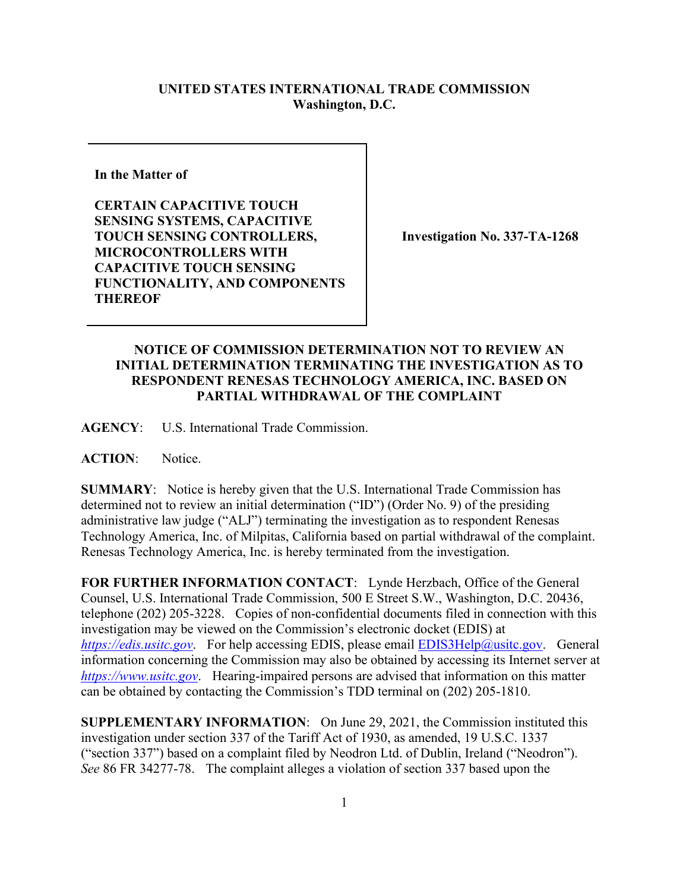## **UNITED STATES INTERNATIONAL TRADE COMMISSION Washington, D.C.**

**In the Matter of** 

**CERTAIN CAPACITIVE TOUCH SENSING SYSTEMS, CAPACITIVE TOUCH SENSING CONTROLLERS, MICROCONTROLLERS WITH CAPACITIVE TOUCH SENSING FUNCTIONALITY, AND COMPONENTS THEREOF**

**Investigation No. 337-TA-1268**

## **NOTICE OF COMMISSION DETERMINATION NOT TO REVIEW AN INITIAL DETERMINATION TERMINATING THE INVESTIGATION AS TO RESPONDENT RENESAS TECHNOLOGY AMERICA, INC. BASED ON PARTIAL WITHDRAWAL OF THE COMPLAINT**

**AGENCY**: U.S. International Trade Commission.

**ACTION**: Notice.

**SUMMARY**: Notice is hereby given that the U.S. International Trade Commission has determined not to review an initial determination ("ID") (Order No. 9) of the presiding administrative law judge ("ALJ") terminating the investigation as to respondent Renesas Technology America, Inc. of Milpitas, California based on partial withdrawal of the complaint. Renesas Technology America, Inc. is hereby terminated from the investigation.

**FOR FURTHER INFORMATION CONTACT**: Lynde Herzbach, Office of the General Counsel, U.S. International Trade Commission, 500 E Street S.W., Washington, D.C. 20436, telephone (202) 205-3228. Copies of non-confidential documents filed in connection with this investigation may be viewed on the Commission's electronic docket (EDIS) at *[https://edis.usitc.gov](https://edis.usitc.gov/).* For help accessing EDIS, please email [EDIS3Help@usitc.gov.](mailto:EDIS3Help@usitc.gov) General information concerning the Commission may also be obtained by accessing its Internet server at *[https://www.usitc.gov](https://www.usitc.gov/)*. Hearing-impaired persons are advised that information on this matter can be obtained by contacting the Commission's TDD terminal on (202) 205-1810.

**SUPPLEMENTARY INFORMATION**: On June 29, 2021, the Commission instituted this investigation under section 337 of the Tariff Act of 1930, as amended, 19 U.S.C. 1337 ("section 337") based on a complaint filed by Neodron Ltd. of Dublin, Ireland ("Neodron"). *See* 86 FR 34277-78. The complaint alleges a violation of section 337 based upon the